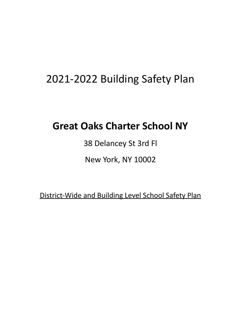# 2021-2022 Building Safety Plan

# **Great Oaks Charter School NY**

38 Delancey St 3rd Fl

New York, NY 10002

District-Wide and Building Level School Safety Plan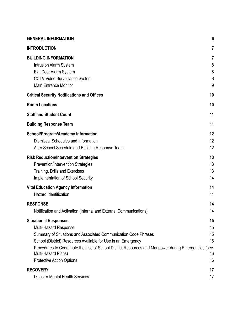| <b>GENERAL INFORMATION</b>                                                                                                                                                                                                                                                                                                    | 6                          |
|-------------------------------------------------------------------------------------------------------------------------------------------------------------------------------------------------------------------------------------------------------------------------------------------------------------------------------|----------------------------|
| <b>INTRODUCTION</b>                                                                                                                                                                                                                                                                                                           | 7                          |
| <b>BUILDING INFORMATION</b><br><b>Intrusion Alarm System</b><br>Exit Door Alarm System<br><b>CCTV Video Surveillance System</b><br><b>Main Entrance Monitor</b>                                                                                                                                                               | 7<br>8<br>8<br>8<br>9      |
| <b>Critical Security Notifications and Offices</b>                                                                                                                                                                                                                                                                            | 10                         |
| <b>Room Locations</b>                                                                                                                                                                                                                                                                                                         | 10                         |
| <b>Staff and Student Count</b>                                                                                                                                                                                                                                                                                                | 11                         |
| <b>Building Response Team</b>                                                                                                                                                                                                                                                                                                 | 11                         |
| <b>School/Program/Academy Information</b><br>Dismissal Schedules and Information<br>After School Schedule and Building Response Team                                                                                                                                                                                          | 12<br>12<br>12             |
| <b>Risk Reduction/Intervention Strategies</b><br>Prevention/Intervention Strategies<br>Training, Drills and Exercises<br><b>Implementation of School Security</b>                                                                                                                                                             | 13<br>13<br>13<br>14       |
| <b>Vital Education Agency Information</b><br><b>Hazard Identification</b>                                                                                                                                                                                                                                                     | 14<br>14                   |
| <b>RESPONSE</b><br>Notification and Activation (Internal and External Communications)                                                                                                                                                                                                                                         | 14<br>14                   |
| <b>Situational Responses</b><br><b>Multi-Hazard Response</b><br>Summary of Situations and Associated Communication Code Phrases<br>School (District) Resources Available for Use in an Emergency<br>Procedures to Coordinate the Use of School District Resources and Manpower during Emergencies (see<br>Multi-Hazard Plans) | 15<br>15<br>15<br>16<br>16 |
| <b>Protective Action Options</b>                                                                                                                                                                                                                                                                                              | 16                         |
| <b>RECOVERY</b><br><b>Disaster Mental Health Services</b>                                                                                                                                                                                                                                                                     | 17<br>17                   |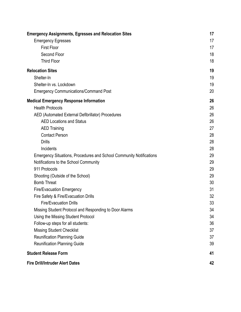| <b>Emergency Assignments, Egresses and Relocation Sites</b>                | 17 |
|----------------------------------------------------------------------------|----|
| <b>Emergency Egresses</b>                                                  | 17 |
| <b>First Floor</b>                                                         | 17 |
| Second Floor                                                               | 18 |
| <b>Third Floor</b>                                                         | 18 |
| <b>Relocation Sites</b>                                                    | 19 |
| Shelter-In                                                                 | 19 |
| Shelter-In vs. Lockdown                                                    | 19 |
| <b>Emergency Communications/Command Post</b>                               | 20 |
| <b>Medical Emergency Response Information</b>                              | 26 |
| <b>Health Protocols</b>                                                    | 26 |
| AED (Automated External Defibrillator) Procedures                          | 26 |
| <b>AED Locations and Status</b>                                            | 26 |
| <b>AED Training</b>                                                        | 27 |
| <b>Contact Person</b>                                                      | 28 |
| <b>Drills</b>                                                              | 28 |
| Incidents                                                                  | 28 |
| <b>Emergency Situations, Procedures and School Community Notifications</b> | 29 |
| Notifications to the School Community                                      | 29 |
| 911 Protocols                                                              | 29 |
| Shooting (Outside of the School)                                           | 29 |
| <b>Bomb Threat</b>                                                         | 30 |
| <b>Fire/Evacuation Emergency</b>                                           | 31 |
| Fire Safety & Fire/Evacuation Drills                                       | 32 |
| <b>Fire/Evacuation Drills</b>                                              | 33 |
| Missing Student Protocol and Responding to Door Alarms                     | 34 |
| Using the Missing Student Protocol                                         | 34 |
| Follow-up steps for all students:                                          | 36 |
| <b>Missing Student Checklist</b>                                           | 37 |
| <b>Reunification Planning Guide</b>                                        | 37 |
| <b>Reunification Planning Guide</b>                                        | 39 |
| <b>Student Release Form</b>                                                | 41 |
| <b>Fire Drill/Intruder Alert Dates</b>                                     | 42 |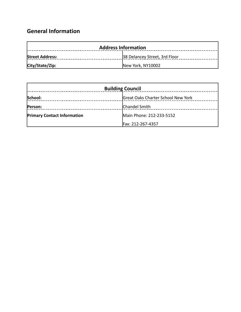## <span id="page-3-0"></span>**General Information**

| <b>Address Information</b> |                               |  |
|----------------------------|-------------------------------|--|
| <b>Street Address:</b>     | 38 Delancey Street, 3rd Floor |  |
| City/State/Zip:            | New York, NY10002             |  |

| <b>Building Council</b>            |                                    |  |
|------------------------------------|------------------------------------|--|
| School:                            | Great Oaks Charter School New York |  |
| Person:                            | Chandel Smith                      |  |
| <b>Primary Contact Information</b> | Main Phone: 212-233-5152           |  |
|                                    | Fax: 212-267-4357                  |  |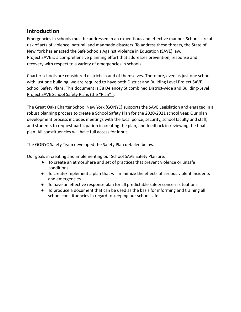### <span id="page-4-0"></span>**Introduction**

Emergencies in schools must be addressed in an expeditious and effective manner. Schools are at risk of acts of violence, natural, and manmade disasters. To address these threats, the State of New York has enacted the Safe Schools Against Violence in Education (SAVE) law. Project SAVE is a comprehensive planning effort that addresses prevention, response and recovery with respect to a variety of emergencies in schools.

Charter schools are considered districts in and of themselves. Therefore, even as just one school with just one building, we are required to have both District and Building Level Project SAVE School Safety Plans. This document is 38 Delancey St combined District-wide and Building-Level Project SAVE School Safety Plans (the "Plan" ).

The Great Oaks Charter School New York (GONYC) supports the SAVE Legislation and engaged in a robust planning process to create a School Safety Plan for the 2020-2021 school year. Our plan development process includes meetings with the local police, security, school faculty and staff, and students to request participation in creating the plan, and feedback in reviewing the final plan. All constituencies will have full access for input.

The GONYC Safety Team developed the Safety Plan detailed below.

Our goals in creating and implementing our School SAVE Safety Plan are:

- To create an atmosphere and set of practices that prevent violence or unsafe conditions
- To create/implement a plan that will minimize the effects of serious violent incidents and emergencies
- To have an effective response plan for all predictable safety concern situations
- To produce a document that can be used as the basis for informing and training all school constituencies in regard to keeping our school safe.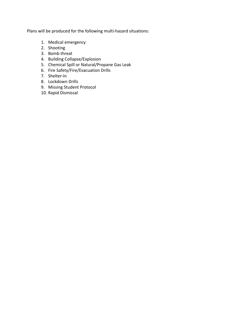Plans will be produced for the following multi-hazard situations:

- 1. Medical emergency
- 2. Shooting
- 3. Bomb threat
- 4. Building Collapse/Explosion
- 5. Chemical Spill or Natural/Propane Gas Leak
- 6. Fire Safety/Fire/Evacuation Drills
- 7. Shelter-In
- 8. Lockdown Drills
- 9. Missing Student Protocol
- 10. Rapid Dismissal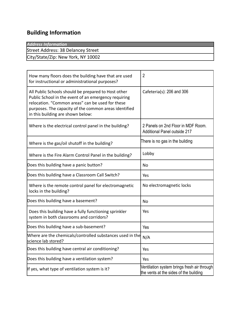## <span id="page-6-0"></span>**Building Information**

| Street Address: 38 Delancey Street |  |
|------------------------------------|--|
|                                    |  |
| City/State/Zip: New York, NY 10002 |  |

| How many floors does the building have that are used<br>for instructional or administrational purposes?                                                                                                                                                       | $\overline{2}$                                                                        |
|---------------------------------------------------------------------------------------------------------------------------------------------------------------------------------------------------------------------------------------------------------------|---------------------------------------------------------------------------------------|
| All Public Schools should be prepared to Host other<br>Public School in the event of an emergency requiring<br>relocation. "Common areas" can be used for these<br>purposes. The capacity of the common areas identified<br>in this building are shown below: | Cafeteria(s): 206 and 306                                                             |
| Where is the electrical control panel in the building?                                                                                                                                                                                                        | 2 Panels on 2nd Floor in MDF Room.<br><b>Additional Panel outside 217</b>             |
| Where is the gas/oil shutoff in the building?                                                                                                                                                                                                                 | There is no gas in the building                                                       |
| Where is the Fire Alarm Control Panel in the building?                                                                                                                                                                                                        | Lobby                                                                                 |
| Does this building have a panic button?                                                                                                                                                                                                                       | <b>No</b>                                                                             |
| Does this building have a Classroom Call Switch?                                                                                                                                                                                                              | Yes                                                                                   |
| Where is the remote control panel for electromagnetic<br>locks in the building?                                                                                                                                                                               | No electromagnetic locks                                                              |
| Does this building have a basement?                                                                                                                                                                                                                           | No                                                                                    |
| Does this building have a fully functioning sprinkler<br>system in both classrooms and corridors?                                                                                                                                                             | Yes                                                                                   |
| Does this building have a sub-basement?                                                                                                                                                                                                                       | Yes                                                                                   |
| Where are the chemicals/controlled substances used in the<br>science lab stored?                                                                                                                                                                              | N/A                                                                                   |
| Does this building have central air conditioning?                                                                                                                                                                                                             | Yes                                                                                   |
| Does this building have a ventilation system?                                                                                                                                                                                                                 | Yes                                                                                   |
| If yes, what type of ventilation system is it?                                                                                                                                                                                                                | Ventilation system brings fresh air through<br>the vents at the sides of the building |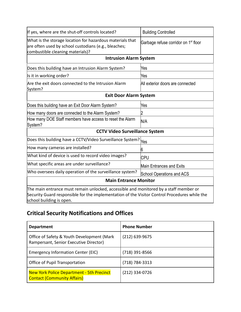<span id="page-7-1"></span><span id="page-7-0"></span>

| If yes, where are the shut-off controls located?                                                                                                                                                                   | <b>Building Controlled</b>                       |  |
|--------------------------------------------------------------------------------------------------------------------------------------------------------------------------------------------------------------------|--------------------------------------------------|--|
| What is the storage location for hazardous materials that<br>are often used by school custodians (e.g., bleaches;<br>combustible cleaning materials)?                                                              | Garbage refuse corridor on 1 <sup>st</sup> floor |  |
| <b>Intrusion Alarm System</b>                                                                                                                                                                                      |                                                  |  |
| Does this building have an Intrusion Alarm System?                                                                                                                                                                 | Yes                                              |  |
| Is it in working order?                                                                                                                                                                                            | Yes                                              |  |
| Are the exit doors connected to the Intrusion Alarm<br>System?                                                                                                                                                     | All exterior doors are connected                 |  |
| <b>Exit Door Alarm System</b>                                                                                                                                                                                      |                                                  |  |
| Does this building have an Exit Door Alarm System?                                                                                                                                                                 | Yes                                              |  |
| How many doors are connected to the Alarm System?                                                                                                                                                                  | 2                                                |  |
| How many DOE Staff members have access to reset the Alarm<br>System?                                                                                                                                               | N/A                                              |  |
| <b>CCTV Video Surveillance System</b>                                                                                                                                                                              |                                                  |  |
| Does this building have a CCTV/Video Surveillance System? <sub>Yes</sub>                                                                                                                                           |                                                  |  |
| How many cameras are installed?                                                                                                                                                                                    | 6                                                |  |
| What kind of device is used to record video images?                                                                                                                                                                | CPU                                              |  |
| What specific areas are under surveillance?                                                                                                                                                                        | Main Entrances and Exits                         |  |
| Who oversees daily operation of the surveillance system?                                                                                                                                                           | <b>School Operations and ACS</b>                 |  |
| <b>Main Entrance Monitor</b>                                                                                                                                                                                       |                                                  |  |
| The main entrance must remain unlocked, accessible and monitored by a staff member or<br>Security Guard responsible for the implementation of the Visitor Control Procedures while the<br>school building is open. |                                                  |  |

## <span id="page-7-4"></span><span id="page-7-3"></span><span id="page-7-2"></span>**Critical Security Notifications and Offices**

| <b>Department</b>                                                                      | <b>Phone Number</b> |
|----------------------------------------------------------------------------------------|---------------------|
| Office of Safety & Youth Development (Mark<br>Rampersant, Senior Executive Director)   | $(212)$ 639-9675    |
| Emergency Information Center (EIC)                                                     | (718) 391-8566      |
| Office of Pupil Transportation                                                         | (718) 784-3313      |
| <b>New York Police Department - 5th Precinct</b><br><b>Contact (Community Affairs)</b> | (212) 334-0726      |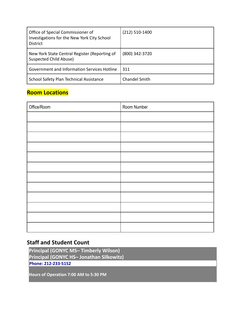| Office of Special Commissioner of<br>Investigations for the New York City School<br><b>District</b> | $(212)$ 510-1400     |
|-----------------------------------------------------------------------------------------------------|----------------------|
| New York State Central Register (Reporting of<br>Suspected Child Abuse)                             | (800) 342-3720       |
| Government and Information Services Hotline                                                         | 311                  |
| School Safety Plan Technical Assistance                                                             | <b>Chandel Smith</b> |

## <span id="page-8-0"></span>**Room Locations**

| Office/Room | Room Number |
|-------------|-------------|
|             |             |
|             |             |
|             |             |
|             |             |
|             |             |
|             |             |
|             |             |
|             |             |
|             |             |
|             |             |
|             |             |
|             |             |

## <span id="page-8-1"></span>**Staff and Student Count**

**Principal (GONYC MS– Timberly Wilson) Principal (GONYC HS– Jonathan Silkowitz) Phone: 212-233-5152**

**Hours of Operation 7:00 AM to 5:30 PM**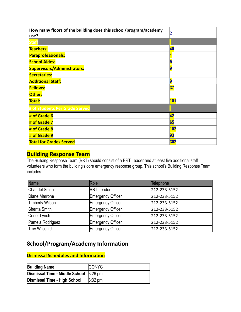| How many floors of the building does this school/program/academy<br>use? | 2   |
|--------------------------------------------------------------------------|-----|
|                                                                          |     |
| <b>Teachers:</b>                                                         | 40  |
| <b>Paraprofessionals:</b>                                                |     |
| <b>School Aides:</b>                                                     |     |
| <b>Supervisors/Administrators:</b>                                       | 9   |
| <b>Secretaries:</b>                                                      |     |
| <b>Additional Staff:</b>                                                 | 9   |
| <b>Fellows:</b>                                                          | 37  |
| Other:                                                                   |     |
| Total:                                                                   | 101 |
| # of Students Per Grade Served                                           |     |
| # of Grade 6                                                             | 42  |
| # of Grade 7                                                             | 65  |
| # of Grade 8                                                             | 102 |
| # of Grade 9                                                             | 93  |
| <b>Total for Grades Served</b>                                           | 302 |

## <span id="page-9-0"></span>**Building Response Team**

The Building Response Team (BRT) should consist of a BRT Leader and at least five additional staff volunteers who form the building's core emergency response group. This school's Building Response Team includes:

| <b>Name</b>          | Role              | Telephone    |
|----------------------|-------------------|--------------|
| <b>Chandel Smith</b> | <b>BRT</b> Leader | 212-233-5152 |
| Diane Marrone        | Emergency Officer | 212-233-5152 |
| Timberly Wilson      | Emergency Officer | 212-233-5152 |
| Sherita Smith        | Emergency Officer | 212-233-5152 |
| Conor Lynch          | Emergency Officer | 212-233-5152 |
| Pamela Rodriguez     | Emergency Officer | 212-233-5152 |
| Troy Wilson Jr.      | Emergency Officer | 212-233-5152 |

## <span id="page-9-1"></span>**School/Program/Academy Information**

#### <span id="page-9-2"></span>**Dismissal Schedules and Information**

| <b>Building Name</b>                   | <b>GONYC</b>      |
|----------------------------------------|-------------------|
| Dismissal Time - Middle School 3:26 pm |                   |
| Dismissal Time - High School           | $3:32 \text{ pm}$ |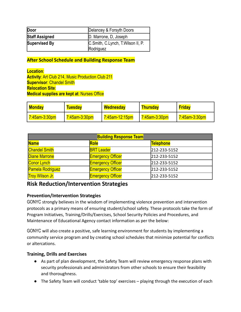| Door                  | Delancey & Forsyth Doors                       |
|-----------------------|------------------------------------------------|
| <b>Staff Assigned</b> | D. Marrone, D. Joseph                          |
| Supervised By         | C.Smith, C.Lynch, T.Wilson II, P.<br>Rodriguez |

<span id="page-10-0"></span>**After School Schedule and Building Response Team**

**Location**: **Activity**: Art Club 214, Music Production Club 211 **Supervisor**: Chandel Smith **Relocation Site**: **Medical supplies are kept at**: Nurses Office

| <mark>Monday</mark>  | <b>Tuesday</b>       | <b>Wednesday</b> | <b>Thursday</b>      | <b>Friday</b> |
|----------------------|----------------------|------------------|----------------------|---------------|
| <u>7:45am-3:30pm</u> | <u>7:45am-3:30pm</u> | 7:45am-12:15pm   | <u>7:45am-3:30pm</u> | 7:45am-3:30pm |

| <b>Building Response Team</b> |                          |              |
|-------------------------------|--------------------------|--------------|
| <b>Name</b>                   | Role                     | Telephone    |
| <b>Chandel Smith</b>          | <b>BRT</b> Leader        | 212-233-5152 |
| <b>Diane Marrone</b>          | <b>Emergency Officer</b> | 212-233-5152 |
| Conor Lynch                   | <b>Emergency Officer</b> | 212-233-5152 |
| <b>Pamela Rodriguez</b>       | <b>Emergency Officer</b> | 212-233-5152 |
| <b>Troy Wilson Jr.</b>        | <b>Emergency Officer</b> | 212-233-5152 |

### <span id="page-10-1"></span>**Risk Reduction/Intervention Strategies**

#### <span id="page-10-2"></span>**Prevention/Intervention Strategies**

GONYC strongly believes in the wisdom of implementing violence prevention and intervention protocols as a primary means of ensuring student/school safety. These protocols take the form of Program Initiatives, Training/Drills/Exercises, School Security Policies and Procedures, and Maintenance of Educational Agency contact information as per the below:

GONYC will also create a positive, safe learning environment for students by implementing a community service program and by creating school schedules that minimize potential for conflicts or altercations.

#### <span id="page-10-3"></span>**Training, Drills and Exercises**

- As part of plan development, the Safety Team will review emergency response plans with security professionals and administrators from other schools to ensure their feasibility and thoroughness.
- The Safety Team will conduct 'table top' exercises playing through the execution of each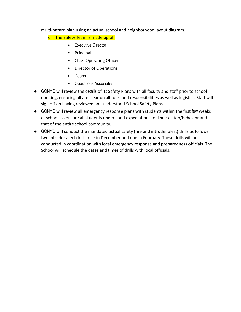multi-hazard plan using an actual school and neighborhood layout diagram.

o The Safety Team is made up of:

- Executive Director
- Principal
- Chief Operating Officer
- Director of Operations
- Deans
- Operations Associates
- GONYC will review the details of its Safety Plans with all faculty and staff prior to school opening, ensuring all are clear on all roles and responsibilities as well as logistics. Staff will sign off on having reviewed and understood School Safety Plans.
- GONYC will review all emergency response plans with students within the first few weeks of school, to ensure all students understand expectations for their action/behavior and that of the entire school community.
- GONYC will conduct the mandated actual safety (fire and intruder alert) drills as follows: two intruder alert drills, one in December and one in February. These drills will be conducted in coordination with local emergency response and preparedness officials. The School will schedule the dates and times of drills with local officials.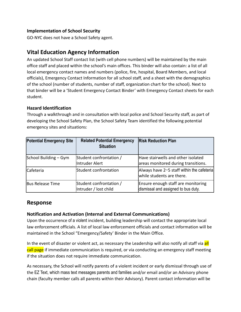#### <span id="page-12-0"></span>**Implementation of School Security**

GO-NYC does not have a School Safety agent.

## <span id="page-12-1"></span>**Vital Education Agency Information**

An updated School Staff contact list (with cell phone numbers) will be maintained by the main office staff and placed within the school's main offices. This binder will also contain: a list of all local emergency contact names and numbers (police, fire, hospital, Board Members, and local officials), Emergency Contact Information for all school staff, and a sheet with the demographics of the school (number of students, number of staff, organization chart for the school). Next to that binder will be a 'Student Emergency Contact Binder' with Emergency Contact sheets for each student.

#### <span id="page-12-2"></span>**Hazard Identification**

Through a walkthrough and in consultation with local police and School Security staff, as part of developing the School Safety Plan, the School Safety Team identified the following potential emergency sites and situations:

| <b>Potential Emergency Site</b> | <b>Related Potential Emergency</b><br><b>Situation</b> | <b>Risk Reduction Plan</b>                                                |
|---------------------------------|--------------------------------------------------------|---------------------------------------------------------------------------|
| School Building - Gym           | Student confrontation /<br>Intruder Alert              | Have stairwells and other isolated<br>areas monitored during transitions. |
| <b>Cafeteria</b>                | Student confrontation                                  | Always have 2-5 staff within the cafeteria<br>while students are there.   |
| Bus Release Time                | Student confrontation /<br>Intruder / lost child       | Ensure enough staff are monitoring<br>dismissal and assigned to bus duty. |

#### <span id="page-12-3"></span>**Response**

#### <span id="page-12-4"></span>**Notification and Activation (Internal and External Communications)**

Upon the occurrence of a violent incident, building leadership will contact the appropriate local law enforcement officials. A list of local law enforcement officials and contact information will be maintained in the School "Emergency/Safety' Binder in the Main Office.

In the event of disaster or violent act, as necessary the Leadership will also notify all staff via all call page if immediate communication is required, or via conducting an emergency staff meeting if the situation does not require immediate communication.

As necessary, the School will notify parents of a violent incident or early dismissal through use of the EZ Text, which mass text messages parents and families and/or email and/or an Advisory phone chain (faculty member calls all parents within their Advisory). Parent contact information will be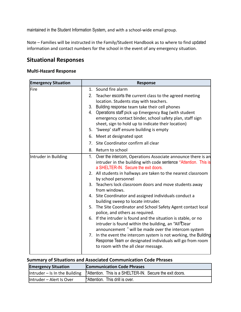maintained in the Student Information System, and with a school-wide email group.

Note – Families will be instructed in the Family/Student Handbook as to where to find updated information and contact numbers for the school in the event of any emergency situation.

## <span id="page-13-0"></span>**Situational Responses**

#### <span id="page-13-1"></span>**Multi-Hazard Response**

| <b>Emergency Situation</b> | <b>Response</b>                                                                                                                                                                                                                                 |
|----------------------------|-------------------------------------------------------------------------------------------------------------------------------------------------------------------------------------------------------------------------------------------------|
| lFire                      | 1. Sound fire alarm<br>2. Teacher escorts the current class to the agreed meeting<br>location. Students stay with teachers.<br>3. Building response team take their cell phones<br>4. Operations staff pick up Emergency Bag (with student      |
|                            | emergency contact binder, school safety plan, staff sign<br>sheet, sign to hold up to indicate their location)<br>5. 'Sweep' staff ensure building is empty                                                                                     |
|                            | 6. Meet at designated spot                                                                                                                                                                                                                      |
|                            | 7. Site Coordinator confirm all clear                                                                                                                                                                                                           |
|                            | 8.<br>Return to school                                                                                                                                                                                                                          |
| Intruder in Building       | 1.<br>Over the intercom, Operations Associate announce there is an<br>intruder in the building with code sentence "Attention. This is<br>a SHELTER-IN. Secure the exit doors.<br>2. All students in hallways are taken to the nearest classroom |
|                            | by school personnel                                                                                                                                                                                                                             |
|                            | 3. Teachers lock classroom doors and move students away<br>from windows.                                                                                                                                                                        |
|                            | 4. Site Coordinator and assigned individuals conduct a<br>building sweep to locate intruder.                                                                                                                                                    |
|                            | 5. The Site Coordinator and School Safety Agent contact local<br>police, and others as required.                                                                                                                                                |
|                            | 6. If the intruder is found and the situation is stable, or no<br>intruder is found within the building, an "All'Clear<br>announcement " will be made over the intercom system                                                                  |
|                            | 7. In the event the intercom system is not working, the Building<br>Response Team or designated individuals will go from room<br>to room with the all clear message.                                                                            |

### <span id="page-13-2"></span>**Summary of Situations and Associated Communication Code Phrases**

| <b>Emergency Situation</b> | <b>Communication Code Phrases</b>                                                                       |
|----------------------------|---------------------------------------------------------------------------------------------------------|
|                            | $\vert$ Intruder – Is In the Building $\vert^2$ Attention. This is a SHELTER-IN. Secure the exit doors. |
| Intruder - Alert Is Over   | "Attention. This drill is over.                                                                         |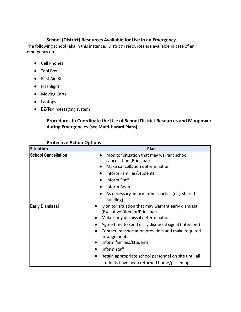#### **School (District) Resources Available for Use in an Emergency**

<span id="page-14-0"></span>The following school (aka in this instance, 'District') resources are available in case of an emergency are:

- Cell Phones
- Tool Box
- First Aid Kit
- Flashlight
- Moving Carts
- Laptops
- <span id="page-14-1"></span>● EZ-Text messaging system

#### **Procedures to Coordinate the Use of School District Resources and Manpower during Emergencies (see Multi-Hazard Plans)**

<span id="page-14-2"></span>

| <b>Situation</b>           | Plan                                                                                                                                                                                                                                                                                                                                                                                                        |
|----------------------------|-------------------------------------------------------------------------------------------------------------------------------------------------------------------------------------------------------------------------------------------------------------------------------------------------------------------------------------------------------------------------------------------------------------|
| <b>School Cancellation</b> | Monitor situation that may warrant school<br>cancellation (Principal)<br>Make cancellation determination<br>Inform Families/Students<br><b>Inform Staff</b><br>Inform Board                                                                                                                                                                                                                                 |
|                            | As necessary, inform other parties (e.g. shared<br>building)                                                                                                                                                                                                                                                                                                                                                |
| <b>Early Dismissal</b>     | Monitor situation that may warrant early dismissal<br>(Executive Director/Principal)<br>Make early dismissal determination<br>Agree time to send early dismissal signal (intercom)<br>Contact transportation providers and make required<br>arrangements<br>Inform families/students<br>Inform staff<br>Retain appropriate school personnel on site until all<br>students have been returned home/picked up |

#### **Protective Action Options**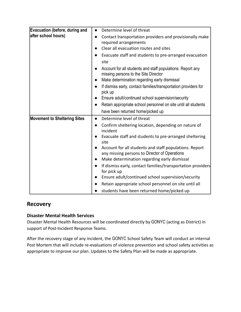| Evacuation (before, during and      | Determine level of threat<br>$\bullet$                                                                          |
|-------------------------------------|-----------------------------------------------------------------------------------------------------------------|
| after school hours)                 | Contact transportation providers and provisionally make<br>$\bullet$<br>required arrangements                   |
|                                     | Clear all evacuation routes and sites                                                                           |
|                                     | Evacuate staff and students to pre-arranged evacuation<br>$\bullet$                                             |
|                                     | site                                                                                                            |
|                                     | Account for all students and staff populations. Report any<br>$\bullet$<br>missing persons to the Site Director |
|                                     | Make determination regarding early dismissal<br>$\bullet$                                                       |
|                                     | If dismiss early, contact families/transportation providers for<br>$\bullet$<br>pick up                         |
|                                     | Ensure adult/continued school supervision/security                                                              |
|                                     | Retain appropriate school personnel on site until all students<br>$\bullet$                                     |
|                                     | have been returned home/picked up                                                                               |
| <b>Movement to Sheltering Sites</b> | Determine level of threat<br>$\bullet$                                                                          |
|                                     | Confirm sheltering location, depending on nature of<br>$\bullet$<br>incident                                    |
|                                     | Evacuate staff and students to pre-arranged sheltering<br>site                                                  |
|                                     | Account for all students and staff populations. Report<br>any missing persons to Director of Operations         |
|                                     | Make determination regarding early dismissal<br>$\bullet$                                                       |
|                                     | If dismiss early, contact families/transportation providers<br>$\bullet$<br>for pick up                         |
|                                     | Ensure adult/continued school supervision/security                                                              |
|                                     | Retain appropriate school personnel on site until all                                                           |
|                                     | students have been returned home/picked up                                                                      |

### <span id="page-15-0"></span>**Recovery**

#### <span id="page-15-1"></span>**Disaster Mental Health Services**

Disaster Mental Health Resources will be coordinated directly by GONYC (acting as District) in support of Post-Incident Response Teams.

After the recovery stage of any incident, the GONYC School Safety Team will conduct an internal Post Mortem that will include re-evaluations of violence prevention and school safety activities as appropriate to improve our plan. Updates to the Safety Plan will be made as appropriate.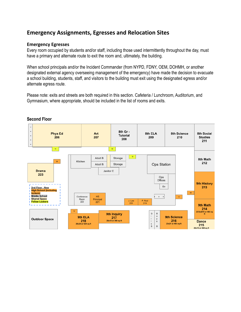## <span id="page-16-0"></span>**Emergency Assignments, Egresses and Relocation Sites**

#### <span id="page-16-1"></span>**Emergency Egresses**

Every room occupied by students and/or staff, including those used intermittently throughout the day, must have a primary and alternate route to exit the room and, ultimately, the building.

When school principals and/or the Incident Commander (from NYPD, FDNY, OEM, DOHMH, or another designated external agency overseeing management of the emergency) have made the decision to evacuate a school building, students, staff, and visitors to the building must exit using the designated egress and/or alternate egress route.

Please note: exits and streets are both required in this section. Cafeteria / Lunchroom, Auditorium, and Gymnasium, where appropriate, should be included in the list of rooms and exits.



#### **Second Floor**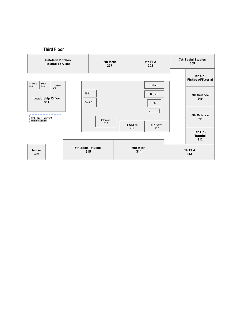#### **Third Floor**

<span id="page-17-1"></span><span id="page-17-0"></span>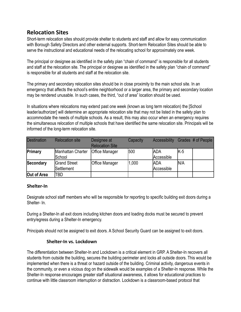## <span id="page-18-0"></span>**Relocation Sites**

Short-term relocation sites should provide shelter to students and staff and allow for easy communication with Borough Safety Directors and other external supports. Short-term Relocation Sites should be able to serve the instructional and educational needs of the relocating school for approximately one week.

The principal or designee as identified in the safety plan "chain of command" is responsible for all students and staff at the relocation site. The principal or designee as identified in the safety plan "chain of command" is responsible for all students and staff at the relocation site.

The primary and secondary relocation sites should be in close proximity to the main school site. In an emergency that affects the school's entire neighborhood or a larger area, the primary and secondary location may be rendered unusable. In such cases, the third, "out of area" location should be used.

In situations where relocations may extend past one week (known as long term relocation) the [School leader/authorizer] will determine an appropriate relocation site that may not be listed in the safety plan to accommodate the needs of multiple schools. As a result, this may also occur when an emergency requires the simultaneous relocation of multiple schools that have identified the same relocation site. Principals will be informed of the long-term relocation site.

| <b>Destination</b> | <b>Relocation site</b>             | Designee at<br><b>Relocation Site</b> | Capacity | <b>Accessibility</b>      |      | Grades # of People |
|--------------------|------------------------------------|---------------------------------------|----------|---------------------------|------|--------------------|
| Primary            | Manhattan Charter<br><b>School</b> | <b>Office Manager</b>                 | 500      | IADA<br>Accessible        | IK-5 |                    |
| Secondary          | <b>Grand Street</b><br>lSettlement | <b>Office Manager</b>                 | 1,000    | <b>JADA</b><br>Accessible | In/a |                    |
| Out of Area        | TBD                                |                                       |          |                           |      |                    |

#### <span id="page-18-1"></span>**Shelter-In**

Designate school staff members who will be responsible for reporting to specific building exit doors during a Shelter- In.

During a Shelter-In all exit doors including kitchen doors and loading docks must be secured to prevent entry/egress during a Shelter-In emergency.

<span id="page-18-2"></span>Principals should not be assigned to exit doors. A School Security Guard can be assigned to exit doors.

#### **Shelter-In vs. Lockdown**

The differentiation between Shelter-In and Lockdown is a critical element in GRP. A Shelter-In recovers all students from outside the building, secures the building perimeter and locks all outside doors. This would be implemented when there is a threat or hazard outside of the building. Criminal activity, dangerous events in the community, or even a vicious dog on the sidewalk would be examples of a Shelter-In response. While the Shelter-In response encourages greater staff situational awareness, it allows for educational practices to continue with little classroom interruption or distraction. Lockdown is a classroom-based protocol that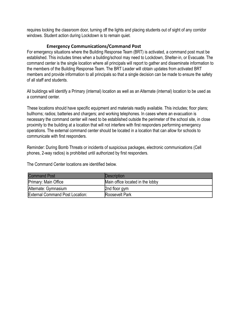<span id="page-19-0"></span>requires locking the classroom door, turning off the lights and placing students out of sight of any corridor windows. Student action during Lockdown is to remain quiet.

#### **Emergency Communications/Command Post**

For emergency situations where the Building Response Team (BRT) is activated, a command post must be established. This includes times when a building/school may need to Lockdown, Shelter-in, or Evacuate. The command center is the single location where all principals will report to gather and disseminate information to the members of the Building Response Team. The BRT Leader will obtain updates from activated BRT members and provide information to all principals so that a single decision can be made to ensure the safety of all staff and students.

All buildings will identify a Primary (internal) location as well as an Alternate (internal) location to be used as a command center.

These locations should have specific equipment and materials readily available. This includes; floor plans; bullhorns; radios; batteries and chargers; and working telephones. In cases where an evacuation is necessary the command center will need to be established outside the perimeter of the school site, in close proximity to the building at a location that will not interfere with first responders performing emergency operations. The external command center should be located in a location that can allow for schools to communicate with first responders.

Reminder: During Bomb Threats or incidents of suspicious packages, electronic communications (Cell phones, 2-way radios) is prohibited until authorized by first responders.

The Command Center locations are identified below.

| <b>Command Post</b>                    | <b>IDescription</b>              |
|----------------------------------------|----------------------------------|
| Primary: Main Office                   | Main office located in the lobby |
| Alternate: Gymnasium                   | 2nd floor gym                    |
| <b>External Command Post Location:</b> | Roosevelt Park                   |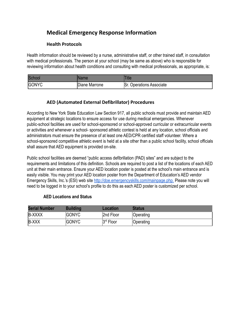## <span id="page-20-0"></span>**Medical Emergency Response Information**

#### **Health Protocols**

<span id="page-20-1"></span>Health information should be reviewed by a nurse, administrative staff, or other trained staff, in consultation with medical professionals. The person at your school (may be same as above) who is responsible for reviewing information about health conditions and consulting with medical professionals, as appropriate, is:

| <b>Schoo</b> | <b>ame</b>     | iue                                |
|--------------|----------------|------------------------------------|
| <b>GONYC</b> | IDiane Marrone | Sr.<br><b>Operations Associate</b> |

#### **AED (Automated External Defibrillator) Procedures**

<span id="page-20-2"></span>According to New York State Education Law Section 917, all public schools must provide and maintain AED equipment at strategic locations to ensure access for use during medical emergencies. Whenever public-school facilities are used for school-sponsored or school-approved curricular or extracurricular events or activities and whenever a school- sponsored athletic contest is held at any location, school officials and administrators must ensure the presence of at least one AED/CPR certified staff volunteer. Where a school-sponsored competitive athletic event is held at a site other than a public school facility, school officials shall assure that AED equipment is provided on-site.

Public school facilities are deemed "public access defibrillation (PAD) sites" and are subject to the requirements and limitations of this definition. Schools are required to post a list of the locations of each AED unit at their main entrance. Ensure your AED location poster is posted at the school's main entrance and is easily visible. You may print your AED location poster from the Department of Education's AED vendor Emergency Skills, Inc.'s (ESI) web site [http://doe.emergencyskills.com/mainpage.php.](http://doe.emergencyskills.com/mainpage.php) Please note you will need to be logged in to your school's profile to do this as each AED poster is customized per school.

#### **AED Locations and Status**

<span id="page-20-3"></span>

| <b>Serial Number</b> | <b>Building</b> | Location  | <b>Status</b> |
|----------------------|-----------------|-----------|---------------|
| <b>B-XXXX</b>        | <b>GONYC</b>    | 2nd Floor | Operating     |
| <b>B-XXX</b>         | <b>IGONYC</b>   | 3rd Floor | Operating     |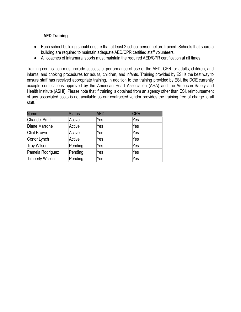#### <span id="page-21-0"></span>**AED Training**

- Each school building should ensure that at least 2 school personnel are trained. Schools that share a building are required to maintain adequate AED/CPR certified staff volunteers.
- All coaches of intramural sports must maintain the required AED/CPR certification at all times.

Training certification must include successful performance of use of the AED, CPR for adults, children, and infants, and choking procedures for adults, children, and infants. Training provided by ESI is the best way to ensure staff has received appropriate training. In addition to the training provided by ESI, the DOE currently accepts certifications approved by the American Heart Association (AHA) and the American Safety and Health Institute (ASHI). Please note that if training is obtained from an agency other than ESI, reimbursement of any associated costs is not available as our contracted vendor provides the training free of charge to all staff.

| <b>Name</b>        | <b>Status</b> | <b>AED</b> | <b>CPR</b> |
|--------------------|---------------|------------|------------|
| Chandel Smith      | Active        | Yes        | Yes        |
| Diane Marrone      | Active        | Yes        | Yes        |
| <b>Clint Brown</b> | Active        | Yes        | Yes        |
| Conor Lynch        | Active        | Yes        | Yes        |
| Troy Wilson        | Pending       | Yes        | Yes        |
| Pamela Rodriguez   | Pending       | Yes        | Yes        |
| Timberly Wilson    | Pending       | Yes        | Yes        |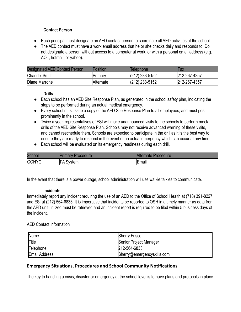#### **Contact Person**

- <span id="page-22-0"></span>● Each principal must designate an AED contact person to coordinate all AED activities at the school.
- The AED contact must have a work email address that he or she checks daily and responds to. Do not designate a person without access to a computer at work, or with a personal email address (e.g. AOL, hotmail, or yahoo).

| <b>Designated AED Contact Person</b> | <b>Position</b> | Telephone        | Fax          |
|--------------------------------------|-----------------|------------------|--------------|
| <b>Chandel Smith</b>                 | Primary         | $(212)$ 233-5152 | 212-267-4357 |
| Diane Marrone                        | Alternate       | $(212)$ 233-5152 | 212-267-4357 |

#### **Drills**

- <span id="page-22-1"></span>● Each school has an AED Site Response Plan, as generated in the school safety plan, indicating the steps to be performed during an actual medical emergency.
- Every school must issue a copy of the AED Site Response Plan to all employees, and must post it prominently in the school.
- Twice a year, representatives of ESI will make unannounced visits to the schools to perform mock drills of the AED Site Response Plan. Schools may not receive advanced warning of these visits, and cannot reschedule them. Schools are expected to participate in the drill as it is the best way to ensure they are ready to respond in the event of an actual emergency which can occur at any time,
- Each school will be evaluated on its emergency readiness during each drill.

| Scho  |                    | rocedure |
|-------|--------------------|----------|
| GONYC | _ ∧ר<br>vstem<br>v | Email    |

In the event that there is a power outage, school administration will use walkie talkies to communicate.

#### **Incidents**

<span id="page-22-2"></span>Immediately report any incident requiring the use of an AED to the Office of School Health at (718) 391-8227 and ESI at (212) 564-6833. It is imperative that incidents be reported to OSH in a timely manner as data from the AED unit utilized must be retrieved and an incident report is required to be filed within 5 business days of the incident.

#### AED Contact Information

| Name                 | <b>Sherry Fusco</b>        |
|----------------------|----------------------------|
| Title                | Senior Project Manager     |
| Telephone            | 212-564-6833               |
| <b>Email Address</b> | Sherry@emergencyskills.com |

#### <span id="page-22-3"></span>**Emergency Situations, Procedures and School Community Notifications**

The key to handling a crisis, disaster or emergency at the school level is to have plans and protocols in place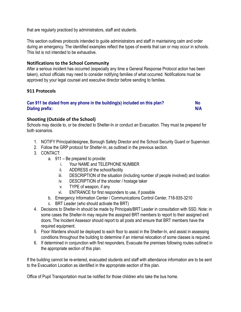that are regularly practiced by administrators, staff and students.

This section outlines protocols intended to guide administrators and staff in maintaining calm and order during an emergency. The identified examples reflect the types of events that can or may occur in schools. This list is not intended to be exhaustive.

#### <span id="page-23-0"></span>**Notifications to the School Community**

After a serious incident has occurred (especially any time a General Response Protocol action has been taken), school officials may need to consider notifying families of what occurred. Notifications must be approved by your legal counsel and executive director before sending to families.

#### <span id="page-23-1"></span>**911 Protocols**

#### **Can 911 be dialed from any phone in the building(s) included on this plan? No Dialing prefix: N/A**

#### <span id="page-23-2"></span>**Shooting (Outside of the School)**

Schools may decide to, or be directed to Shelter-In or conduct an Evacuation. They must be prepared for both scenarios.

- 1. NOTIFY Principal/designee, Borough Safety Director and the School Security Guard or Supervisor.
- 2. Follow the GRP protocol for Shelter-In, as outlined in the previous section.
- 3. CONTACT:
	- a. 911 Be prepared to provide:
		- i. Your NAME and TELEPHONE NUMBER
		- ii. ADDRESS of the school/facility
		- iii. DESCRIPTION of the situation (including number of people involved) and location
		- iv. DESCRIPTION of the shooter / hostage taker
		- v. TYPE of weapon, if any
		- vi. ENTRANCE for first responders to use, if possible
	- b. Emergency Information Center / Communications Control Center, 718-935-3210
	- c. BRT Leader (who should activate the BRT)
- 4. Decisions to Shelter-In should be made by Principals/BRT Leader in consultation with SSD. Note: in some cases the Shelter-In may require the assigned BRT members to report to their assigned exit doors. The Incident Assessor should report to all posts and ensure that BRT members have the required equipment.
- 5. Floor Wardens should be deployed to each floor to assist in the Shelter-In, and assist in assessing conditions throughout the building to determine if an internal relocation of some classes is required.
- 6. If determined in conjunction with first responders, Evacuate the premises following routes outlined in the appropriate section of this plan.

If the building cannot be re-entered, evacuated students and staff with attendance information are to be sent to the Evacuation Location as identified in the appropriate section of this plan.

Office of Pupil Transportation must be notified for those children who take the bus home.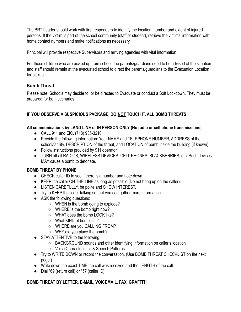The BRT Leader should work with first responders to identify the location, number and extent of injured persons. If the victim is part of the school community (staff or student), retrieve the victims' information with home contact numbers and make notifications as necessary.

Principal will provide respective Supervisors and arriving agencies with vital information.

For those children who are picked up from school, the parents/guardians need to be advised of the situation and staff should remain at the evacuated school to direct the parents/guardians to the Evacuation Location for pickup.

#### <span id="page-24-0"></span>**Bomb Threat**

Please note: Schools may decide to, or be directed to Evacuate or conduct a Soft Lockdown. They must be prepared for both scenarios.

#### **IF YOU OBSERVE A SUSPICIOUS PACKAGE, DO NOT TOUCH IT. ALL BOMB THREATS**

#### **All communications by LAND LINE or IN PERSON ONLY (No radio or cell phone transmissions).**

- CALL 911 and EIC, (718) 935-3210.
- Provide the following information: Your NAME and TELEPHONE NUMBER, ADDRESS of the school/facility, DESCRIPTION of the threat, and LOCATION of bomb inside the building (if known).
- Follow instructions provided by 911 operator.
- TURN off all RADIOS, WIRELESS DEVICES, CELL PHONES, BLACKBERRIES, etc. Such devices MAY cause a bomb to detonate.

#### **BOMB THREAT BY PHONE**

- CHECK caller ID to see if there is a number and note down.
- KEEP the caller ON THE LINE as long as possible (Do not hang up on the caller).
- LISTEN CAREFULLY, be polite and SHOW INTEREST.
- Try to KEEP the caller talking so that you can gather more information.
- ASK the following questions:
	- $\circ$  WHEN is the bomb going to explode?
	- WHERE is the bomb right now?
	- WHAT does the bomb LOOK like?
	- $\circ$  What KIND of bomb is it?
	- WHERE are you CALLING FROM?
	- WHY did you place the bomb?
- STAY ATTENTIVE to the following:
	- BACKGROUND sounds and other identifying information on caller's location
	- Voice Characteristics & Speech Patterns
- Try to WRITE DOWN or record the conversation. (Use BOMB THREAT CHECKLIST on the next page.)
- Write down the exact TIME the call was received and the LENGTH of the call.
- Dial \*69 (return call) or \*57 (caller ID).

#### **BOMB THREAT BY LETTER, E-MAIL, VOICEMAIL, FAX, GRAFFITI**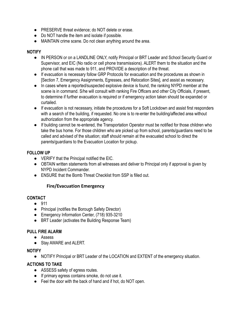- PRESERVE threat evidence; do NOT delete or erase.
- Do NOT handle the item and isolate if possible.
- MAINTAIN crime scene. Do not clean anything around the area.

#### **NOTIFY**

- IN PERSON or on a LANDLINE ONLY, notify Principal or BRT Leader and School Security Guard or Supervisor, and EIC (No radio or cell phone transmissions). ALERT them to the situation and the phone call that was made to 911, and PROVIDE a description of the threat.
- If evacuation is necessary follow GRP Protocols for evacuation and the procedures as shown in [Section 7, Emergency Assignments, Egresses, and Relocation Sites], and assist as necessary.
- In cases where a reported/suspected explosive device is found, the ranking NYPD member at the scene is in command. S/he will consult with ranking Fire Officers and other City Officials, if present, to determine if further evacuation is required or if emergency action taken should be expanded or curtailed.
- If evacuation is not necessary, initiate the procedures for a Soft Lockdown and assist first responders with a search of the building, if requested. No one is to re-enter the building/affected area without authorization from the appropriate agency.
- If building cannot be re-entered, the Transportation Operator must be notified for those children who take the bus home. For those children who are picked up from school, parents/guardians need to be called and advised of the situation; staff should remain at the evacuated school to direct the parents/guardians to the Evacuation Location for pickup.

#### **FOLLOW UP**

- VERIFY that the Principal notified the EIC.
- OBTAIN written statements from all witnesses and deliver to Principal only if approval is given by NYPD Incident Commander.
- <span id="page-25-0"></span>● ENSURE that the Bomb Threat Checklist from SSP is filled out.

#### **Fire/Evacuation Emergency**

#### **CONTACT**

- 911
- Principal (notifies the Borough Safety Director)
- Emergency Information Center, (718) 935-3210
- BRT Leader (activates the Building Response Team)

#### **PULL FIRE ALARM**

- Assess
- Stay AWARE and ALERT.

#### **NOTIFY**

● NOTIFY Principal or BRT Leader of the LOCATION and EXTENT of the emergency situation.

#### **ACTIONS TO TAKE**

- ASSESS safety of egress routes.
- If primary egress contains smoke, do not use it.
- Feel the door with the back of hand and if hot, do NOT open.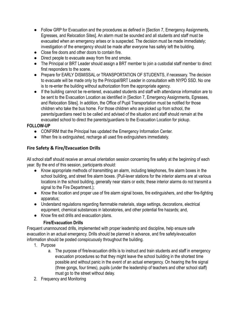- Follow GRP for Evacuation and the procedures as defined in [Section 7, Emergency Assignments, Egresses, and Relocation Sites]. An alarm must be sounded and all students and staff must be evacuated when an emergency arises or is suspected. The decision must be made immediately; investigation of the emergency should be made after everyone has safely left the building.
- Close fire doors and other doors to contain fire.
- Direct people to evacuate away from fire and smoke.
- The Principal or BRT Leader should assign a BRT member to join a custodial staff member to direct first responders to the scene.
- Prepare for EARLY DISMISSAL or TRANSPORTATION OF STUDENTS, if necessary. The decision to evacuate will be made only by the Principal/BRT Leader in consultation with NYPD SSD. No one is to re-enter the building without authorization from the appropriate agency.
- If the building cannot be re-entered, evacuated students and staff with attendance information are to be sent to the Evacuation Location as identified in [Section 7, Emergency Assignments, Egresses, and Relocation Sites]. In addition, the Office of Pupil Transportation must be notified for those children who take the bus home. For those children who are picked up from school, the parents/guardians need to be called and advised of the situation and staff should remain at the evacuated school to direct the parents/guardians to the Evacuation Location for pickup.

#### **FOLLOW-UP**

- CONFIRM that the Principal has updated the Emergency Information Center.
- When fire is extinguished, recharge all used fire extinguishers immediately.

#### <span id="page-26-0"></span>**Fire Safety & Fire/Evacuation Drills**

All school staff should receive an annual orientation session concerning fire safety at the beginning of each year. By the end of this session, participants should:

- Know appropriate methods of transmitting an alarm, including telephones, fire alarm boxes in the school building, and street fire alarm boxes. (Pull-lever stations for the interior alarms are at various locations in the school building, generally near stairs or exits; these interior alarms do not transmit a signal to the Fire Department.);
- Know the location and proper use of fire alarm signal boxes, fire extinguishers, and other fire-fighting apparatus;
- Understand regulations regarding flammable materials, stage settings, decorations, electrical equipment, chemical substances in laboratories, and other potential fire hazards; and,
- Know fire exit drills and evacuation plans.

#### **Fire/Evacuation Drills**

<span id="page-26-1"></span>Frequent unannounced drills, implemented with proper leadership and discipline, help ensure safe evacuation in an actual emergency. Drills should be planned in advance, and fire safety/evacuation information should be posted conspicuously throughout the building.

- 1. Purpose
	- a. The purpose of fire/evacuation drills is to instruct and train students and staff in emergency evacuation procedures so that they might leave the school building in the shortest time possible and without panic in the event of an actual emergency. On hearing the fire signal (three gongs, four times), pupils (under the leadership of teachers and other school staff) must go to the street without delay.
- 2. Frequency and Monitoring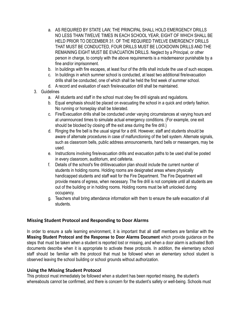- a. AS REQUIRED BY STATE LAW, THE PRINCIPAL SHALL HOLD EMERGENCY DRILLS NO LESS THAN TWELVE TIMES IN EACH SCHOOL YEAR, EIGHT OF WHICH SHALL BE HELD PRIOR TO DECEMBER 31. OF THE REQUIRED TWELVE EMERGENCY DRILLS THAT MUST BE CONDUCTED, FOUR DRILLS MUST BE LOCKDOWN DRILLS AND THE REMAINING EIGHT MUST BE EVACUATION DRILLS. Neglect by a Principal, or other person in charge, to comply with the above requirements is a misdemeanor punishable by a fine and/or imprisonment.
- b. In buildings with fire escapes, at least four of the drills shall include the use of such escapes.
- c. In buildings in which summer school is conducted, at least two additional fire/evacuation drills shall be conducted, one of which shall be held the first week of summer school.
- d. A record and evaluation of each fire/evacuation drill shall be maintained.

#### 3. Guidelines

- a. All students and staff in the school must obey fire drill signals and regulations.
- b. Equal emphasis should be placed on evacuating the school in a quick and orderly fashion. No running or horseplay shall be tolerated.
- c. Fire/Evacuation drills shall be conducted under varying circumstances at varying hours and at unannounced times to simulate actual emergency conditions. (For example, one exit should be blocked by closing off the exit area during the fire drill.)
- d. Ringing the fire bell is the usual signal for a drill. However, staff and students should be aware of alternate procedures in case of malfunctioning of the bell system. Alternate signals, such as classroom bells, public address announcements, hand bells or messengers, may be used.
- e. Instructions involving fire/evacuation drills and evacuation paths to be used shall be posted in every classroom, auditorium, and cafeteria.
- f. Details of the school's fire drill/evacuation plan should include the current number of students in holding rooms. Holding rooms are designated areas where physically handicapped students and staff wait for the Fire Department. The Fire Department will provide means of egress, when necessary. The fire drill is not complete until all students are out of the building or in holding rooms. Holding rooms must be left unlocked during occupancy.
- g. Teachers shall bring attendance information with them to ensure the safe evacuation of all students.

#### <span id="page-27-0"></span>**Missing Student Protocol and Responding to Door Alarms**

In order to ensure a safe learning environment, it is important that all staff members are familiar with the **Missing Student Protocol and the Response to Door Alarms Document** which provide guidance on the steps that must be taken when a student is reported lost or missing, and when a door alarm is activated Both documents describe when it is appropriate to activate these protocols. In addition, the elementary school staff should be familiar with the protocol that must be followed when an elementary school student is observed leaving the school building or school grounds without authorization.

#### <span id="page-27-1"></span>**Using the Missing Student Protocol**

This protocol must immediately be followed when a student has been reported missing, the student's whereabouts cannot be confirmed, and there is concern for the student's safety or well-being. Schools must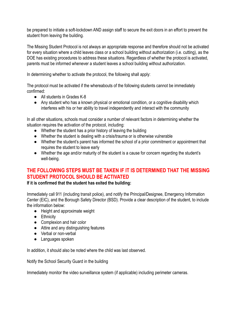be prepared to initiate a soft-lockdown AND assign staff to secure the exit doors in an effort to prevent the student from leaving the building.

The Missing Student Protocol is not always an appropriate response and therefore should not be activated for every situation where a child leaves class or a school building without authorization (i.e. cutting), as the DOE has existing procedures to address these situations. Regardless of whether the protocol is activated, parents must be informed whenever a student leaves a school building without authorization.

In determining whether to activate the protocol, the following shall apply:

The protocol must be activated if the whereabouts of the following students cannot be immediately confirmed:

- All students in Grades K-8
- Any student who has a known physical or emotional condition, or a cognitive disability which interferes with his or her ability to travel independently and interact with the community

In all other situations, schools must consider a number of relevant factors in determining whether the situation requires the activation of the protocol, including:

- Whether the student has a prior history of leaving the building
- Whether the student is dealing with a crisis/trauma or is otherwise vulnerable
- Whether the student's parent has informed the school of a prior commitment or appointment that requires the student to leave early
- Whether the age and/or maturity of the student is a cause for concern regarding the student's well-being.

### **THE FOLLOWING STEPS MUST BE TAKEN IF IT IS DETERMINED THAT THE MISSING STUDENT PROTOCOL SHOULD BE ACTIVATED**

**If it is confirmed that the student has exited the building:**

Immediately call 911 (including transit police), and notify the Principal/Designee, Emergency Information Center (EIC), and the Borough Safety Director (BSD). Provide a clear description of the student, to include the information below:

- Height and approximate weight
- Ethnicity
- Complexion and hair color
- Attire and any distinguishing features
- Verbal or non-verbal
- Languages spoken

In addition, it should also be noted where the child was last observed.

Notify the School Security Guard in the building

Immediately monitor the video surveillance system (if applicable) including perimeter cameras.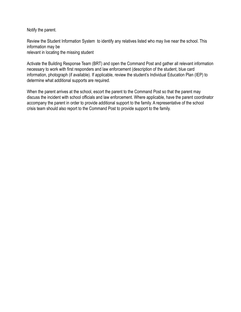Notify the parent.

Review the Student Information System to identify any relatives listed who may live near the school. This information may be relevant in locating the missing student

Activate the Building Response Team (BRT) and open the Command Post and gather all relevant information necessary to work with first responders and law enforcement (description of the student, blue card information, photograph (if available). If applicable, review the student's Individual Education Plan (IEP) to determine what additional supports are required.

When the parent arrives at the school, escort the parent to the Command Post so that the parent may discuss the incident with school officials and law enforcement. Where applicable, have the parent coordinator accompany the parent in order to provide additional support to the family. A representative of the school crisis team should also report to the Command Post to provide support to the family.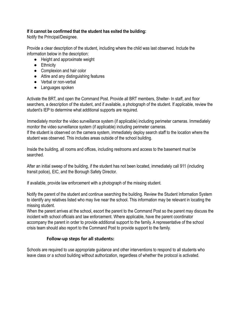#### **If it cannot be confirmed that the student has exited the building:**

Notify the Principal/Designee.

Provide a clear description of the student, including where the child was last observed. Include the information below in the description:

- Height and approximate weight
- Ethnicity
- Complexion and hair color
- Attire and any distinguishing features
- Verbal or non-verbal
- Languages spoken

Activate the BRT, and open the Command Post. Provide all BRT members, Shelter- In staff, and floor searchers, a description of the student, and if available, a photograph of the student. If applicable, review the student's IEP to determine what additional supports are required.

Immediately monitor the video surveillance system (if applicable) including perimeter cameras. Immediately monitor the video surveillance system (if applicable) including perimeter cameras. If the student is observed on the camera system, immediately deploy search staff to the location where the student was observed. This includes areas outside of the school building.

Inside the building, all rooms and offices, including restrooms and access to the basement must be searched.

After an initial sweep of the building, if the student has not been located, immediately call 911 (including transit police), EIC, and the Borough Safety Director.

If available, provide law enforcement with a photograph of the missing student.

Notify the parent of the student and continue searching the building. Review the Student Information System to identify any relatives listed who may live near the school. This information may be relevant in locating the missing student.

When the parent arrives at the school, escort the parent to the Command Post so the parent may discuss the incident with school officials and law enforcement. Where applicable, have the parent coordinator accompany the parent in order to provide additional support to the family. A representative of the school crisis team should also report to the Command Post to provide support to the family.

#### **Follow-up steps for all students:**

<span id="page-30-0"></span>Schools are required to use appropriate guidance and other interventions to respond to all students who leave class or a school building without authorization, regardless of whether the protocol is activated.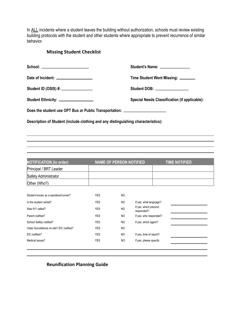<span id="page-31-0"></span>In ALL incidents where a student leaves the building without authorization, schools must review existing building protocols with the student and other students where appropriate to prevent recurrence of similar behavior.

#### **Missing Student Checklist**

| School: _______________________                                                   | Student's Name: _______________                                                                                                                                                                                                |
|-----------------------------------------------------------------------------------|--------------------------------------------------------------------------------------------------------------------------------------------------------------------------------------------------------------------------------|
| Date of Incident: __________________                                              | Time Student Went Missing: _______                                                                                                                                                                                             |
| Student ID (OSIS) #: ________________                                             | Student DOB: \\cdot \\cdot \\cdot \\cdot \\cdot \\cdot \\cdot \\cdot \\cdot \\cdot \\cdot \\cdot \\cdot \\cdot \\cdot \\cdot \\cdot \\cdot \\cdot \\cdot \\cdot \\cdot \\cdot \\cdot \\cdot \\cdot \\cdot \\cdot \\cdot \\cdot |
| Student Ethnicity: __________________                                             | <b>Special Needs Classification (if applicable):</b>                                                                                                                                                                           |
| Does the student use OPT Bus or Public Transportation: _________________________  |                                                                                                                                                                                                                                |
| Description of Student (include clothing and any distinguishing characteristics): |                                                                                                                                                                                                                                |
|                                                                                   |                                                                                                                                                                                                                                |

| <b>YES</b> | N <sub>O</sub> |                                       |  |
|------------|----------------|---------------------------------------|--|
| <b>YES</b> | <b>NO</b>      | If yes, what language?:               |  |
| <b>YES</b> | <b>NO</b>      | If yes, which precinct<br>responded?: |  |
| <b>YES</b> | <b>NO</b>      | If yes, who responded?:               |  |
| <b>YES</b> | <b>NO</b>      | If yes, which agent?:                 |  |
| <b>YES</b> | N <sub>O</sub> |                                       |  |
| <b>YES</b> | N <sub>O</sub> | If yes, time of report?:              |  |
| <b>YES</b> | <b>NO</b>      | If yes, please specify:               |  |
|            |                |                                       |  |

#### <span id="page-31-1"></span>**Reunification Planning Guide**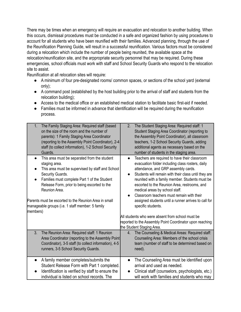There may be times when an emergency will require an evacuation and relocation to another building. When this occurs, dismissal procedures must be conducted in a safe and organized fashion by using procedures to account for all students who have been reunified with their families. Advanced planning, through the use of the Reunification Planning Guide, will result in a successful reunification. Various factors must be considered during a relocation which include the number of people being reunited, the available space at the relocation/reunification site, and the arppropriate security personnel that may be required. During these emergencies, school officials must work with staff and School Security Guards who respond to the relocation site to assist.

Reunification at all relocation sites will require:

- A minimum of four pre-designated rooms/ common spaces, or sections of the school yard (external only);
- A command post (established by the host building prior to the arrival of staff and students from the relocation building);
- Access to the medical office or an established medical station to facilitate basic first-aid if needed.
- Families must be informed in advance that identification will be required during the reunification process.

| 1.                                                                                                                                                                                                                                                                                                                                                                                           | 2.                                                                                                                                                                                                                                                                                                                                                                                                                                                                                         |
|----------------------------------------------------------------------------------------------------------------------------------------------------------------------------------------------------------------------------------------------------------------------------------------------------------------------------------------------------------------------------------------------|--------------------------------------------------------------------------------------------------------------------------------------------------------------------------------------------------------------------------------------------------------------------------------------------------------------------------------------------------------------------------------------------------------------------------------------------------------------------------------------------|
| The Family Staging Area: Required staff (based                                                                                                                                                                                                                                                                                                                                               | The Student Staging Area: Required staff: 1                                                                                                                                                                                                                                                                                                                                                                                                                                                |
| on the size of the room and the number of                                                                                                                                                                                                                                                                                                                                                    | Student Staging Area Coordinator (reporting to                                                                                                                                                                                                                                                                                                                                                                                                                                             |
| parents): 1 Family Staging Area Coordinator                                                                                                                                                                                                                                                                                                                                                  | the Assembly Point Coordinator), all classroom                                                                                                                                                                                                                                                                                                                                                                                                                                             |
| (reporting to the Assembly Point Coordinator), 2-4                                                                                                                                                                                                                                                                                                                                           | teachers, 1-2 School Security Guards, adding                                                                                                                                                                                                                                                                                                                                                                                                                                               |
| staff (to collect information), 1-2 School Security                                                                                                                                                                                                                                                                                                                                          | additional agents as necessary based on the                                                                                                                                                                                                                                                                                                                                                                                                                                                |
| Guards.                                                                                                                                                                                                                                                                                                                                                                                      | number of students in the staging area.                                                                                                                                                                                                                                                                                                                                                                                                                                                    |
| This area must be separated from the student<br>$\bullet$<br>staging area.<br>This area must be supervised by staff and School<br>Security Guards.<br>Families must complete Part 1 of the Student<br>Release Form, prior to being escorted to the<br>Reunion Area.<br>Parents must be escorted to the Reunion Area in small<br>manageable groups (i.e. 1 staff member: 5 family<br>members) | Teachers are required to have their classroom<br>$\bullet$<br>evacuation folder including class rosters, daily<br>attendance, and GRP assembly cards.<br>Students will remain with their class until they are<br>$\bullet$<br>reunited with a family member. Students must be<br>escorted to the Reunion Area, restrooms, and<br>medical areas by school staff.<br>Classroom teachers must remain with their<br>assigned students until a runner arrives to call for<br>specific students. |
|                                                                                                                                                                                                                                                                                                                                                                                              | All students who were absent from school must be<br>reported to the Assembly Point Coordinator upon reaching<br>the Student Staging Area.                                                                                                                                                                                                                                                                                                                                                  |
| The Reunion Area: Required staff: 1 Reunion                                                                                                                                                                                                                                                                                                                                                  | The Counseling & Medical Areas: Required staff:                                                                                                                                                                                                                                                                                                                                                                                                                                            |
| 3.                                                                                                                                                                                                                                                                                                                                                                                           | 4.                                                                                                                                                                                                                                                                                                                                                                                                                                                                                         |
| Area Coordinator (reporting to the Assembly Point                                                                                                                                                                                                                                                                                                                                            | Counseling Area: Members of the school crisis                                                                                                                                                                                                                                                                                                                                                                                                                                              |
| Coordinator), 3-5 staff (to collect information), 4-5                                                                                                                                                                                                                                                                                                                                        | team (number of staff to be determined based on                                                                                                                                                                                                                                                                                                                                                                                                                                            |
| runners, 3-5 School Security Guards.                                                                                                                                                                                                                                                                                                                                                         | need).                                                                                                                                                                                                                                                                                                                                                                                                                                                                                     |
| A family member completes/submits the                                                                                                                                                                                                                                                                                                                                                        | The Counseling Area must be identified upon                                                                                                                                                                                                                                                                                                                                                                                                                                                |
| $\bullet$                                                                                                                                                                                                                                                                                                                                                                                    | $\bullet$                                                                                                                                                                                                                                                                                                                                                                                                                                                                                  |
| Student Release Form with Part 1 completed.                                                                                                                                                                                                                                                                                                                                                  | arrival and used as needed.                                                                                                                                                                                                                                                                                                                                                                                                                                                                |
| Identification is verified by staff to ensure the                                                                                                                                                                                                                                                                                                                                            | Clinical staff (counselors, psychologists, etc.)                                                                                                                                                                                                                                                                                                                                                                                                                                           |
| individual is listed on school records. The                                                                                                                                                                                                                                                                                                                                                  | will work with families and students who may                                                                                                                                                                                                                                                                                                                                                                                                                                               |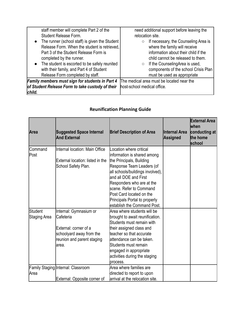| staff member will complete Part 2 of the<br>Student Release Form.<br>• The runner (school staff) is given the Student<br>Release Form. When the student is retrieved,<br>Part 3 of the Student Release Form is<br>completed by the runner.<br>• The student is escorted to be safely reunited<br>with their family, and Part 4 of Student | need additional support before leaving the<br>relocation site.<br>If necessary, the Counseling Area is<br>$\circ$<br>where the family will receive<br>information about their child if the<br>child cannot be released to them.<br>If the CounselingArea is used,<br>$\circ$<br>components of the school Crisis Plan |
|-------------------------------------------------------------------------------------------------------------------------------------------------------------------------------------------------------------------------------------------------------------------------------------------------------------------------------------------|----------------------------------------------------------------------------------------------------------------------------------------------------------------------------------------------------------------------------------------------------------------------------------------------------------------------|
| Release Form completed by staff.                                                                                                                                                                                                                                                                                                          | must be used as appropriate                                                                                                                                                                                                                                                                                          |
| Family members must sign for students in Part 4                                                                                                                                                                                                                                                                                           | The medical area must be located near the                                                                                                                                                                                                                                                                            |
| of Student Release Form to take custody of their<br>child.                                                                                                                                                                                                                                                                                | host-school medical office.                                                                                                                                                                                                                                                                                          |

<span id="page-33-0"></span>

| Area                    | <b>Suggested Space Internal</b><br><b>And External</b>                                                                            | <b>Brief Description of Area</b>                                                                                                                                                                                                                                                                                                   | Internal Area<br><b>Assigned</b> | <b>External Area</b><br>lwhen<br>conducting at<br>the home<br>school |
|-------------------------|-----------------------------------------------------------------------------------------------------------------------------------|------------------------------------------------------------------------------------------------------------------------------------------------------------------------------------------------------------------------------------------------------------------------------------------------------------------------------------|----------------------------------|----------------------------------------------------------------------|
| <b>Command</b><br>Post  | IInternal location: Main Office<br>External location: listed in the<br>School Safety Plan.                                        | Location where critical<br>information is shared among<br>the Principals, Building<br>Response Team Leaders (of<br>all schools/buildings involved),<br>land all DOE and First<br>Responders who are at the<br>scene. Refer to Command<br>Post Card located on the<br>Principals Portal to properly<br>lestablish the Command Post. |                                  |                                                                      |
| Student<br>Staging Area | Internal: Gymnasium or<br>lCafeteria<br>External: corner of a<br>schoolyard away from the<br>reunion and parent staging<br>larea. | Area where students will be<br>brought to await reunification.<br>lStudents must remain with<br>their assigned class and<br>teacher so that accurate<br>lattendance can be taken.<br>Students must remain<br>engaged in appropriate<br>activities during the staging<br>process.                                                   |                                  |                                                                      |
| lArea                   | Family Staging Internal: Classroom<br>External: Opposite corner of                                                                | Area where families are<br>directed to report to upon<br>arrival at the relocation site.                                                                                                                                                                                                                                           |                                  |                                                                      |

## **Reunification Planning Guide**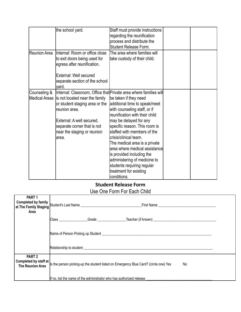|                               | the school yard.                                                                                                                                                                       | Staff must provide instructions<br>regarding the reunification<br>process and distribute the<br><b>Student Release Form.</b>                                                                                                                                                                                                                                                                                                                                                                                             |  |
|-------------------------------|----------------------------------------------------------------------------------------------------------------------------------------------------------------------------------------|--------------------------------------------------------------------------------------------------------------------------------------------------------------------------------------------------------------------------------------------------------------------------------------------------------------------------------------------------------------------------------------------------------------------------------------------------------------------------------------------------------------------------|--|
| <b>IReunion Area</b>          | Internal: Room or office close<br>to exit doors being used for<br>egress after reunification.<br>External: Well secured<br>separate section of the school<br>yard.                     | The area where families will<br>take custody of their child.                                                                                                                                                                                                                                                                                                                                                                                                                                                             |  |
| Counseling &<br>Medical Areas | is not located near the family<br>or student staging area or the<br>reunion area.<br>External: A well secured,<br>separate corner that is not<br>near the staging or reunion<br>larea. | Internal: Classroom, Office that Private area where families will<br>be taken if they need<br>additional time to speak/meet<br>with counseling staff, or if<br>reunification with their child<br>may be delayed for any<br>specific reason. This room is<br>staffed with members of the<br>lcrisis/clinical team.<br>The medical area is a private<br>area where medical assistance<br>is provided including the<br>administering of medicine to<br>students requiring regular<br>treatment for existing<br>lconditions. |  |

## **Student Release Form**

### Use One Form For Each Child

<span id="page-34-0"></span>

| PART <sub>1</sub><br>Area                  |                                                                                                                                                                                                                                     |  |
|--------------------------------------------|-------------------------------------------------------------------------------------------------------------------------------------------------------------------------------------------------------------------------------------|--|
|                                            |                                                                                                                                                                                                                                     |  |
|                                            | Relationship to student <b>Example 2006</b> Security 1986 Security 1986 Security 1986 Security 1986 Security 1986 Security 1986 Security 1986 Security 1986 Security 1986 Security 1986 Security 1986 Security 1986 Security 1986 S |  |
| PART <sub>2</sub><br>Completed by staff at |                                                                                                                                                                                                                                     |  |
| <b>The Reunion Area</b>                    | Is the person picking-up the student listed on Emergency Blue Card? (circle one) Yes<br>No                                                                                                                                          |  |
|                                            | If no, list the name of the administrator who has authorized release                                                                                                                                                                |  |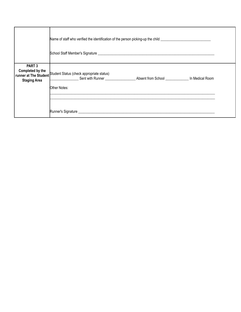|                                                              | Name of staff who verified the identification of the person picking-up the child<br>School Staff Member's Signature League and Contract Contract Contract Contract Contract Contract Contract Contract Contract Contract Contract Contract Contract Contract Contract Contract Contract Contract Contract Contract |  |  |
|--------------------------------------------------------------|--------------------------------------------------------------------------------------------------------------------------------------------------------------------------------------------------------------------------------------------------------------------------------------------------------------------|--|--|
| PART <sub>3</sub><br>Completed by the<br><b>Staging Area</b> | runner at The Student Student Status (check appropriate status)<br>Sent with Runner <b>Subsett Frame</b> Absent from School <b>Sent and School</b> In Medical Room<br>Other Notes:                                                                                                                                 |  |  |